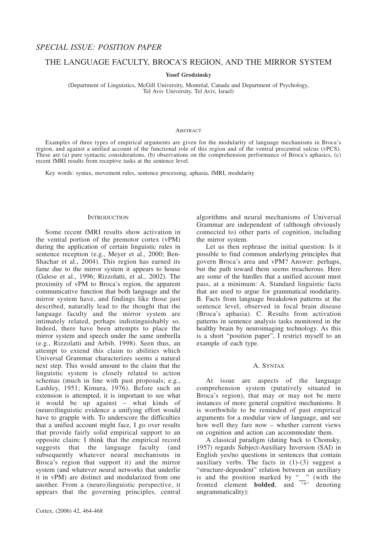# THE LANGUAGE FACULTY, BROCA'S REGION, AND THE MIRROR SYSTEM

**Yosef Grodzinsky**

(Department of Linguistics, McGill University, Montréal, Canada and Department of Psychology, Tel Aviv University, Tel Aviv, Israel)

#### ABSTRACT

Examples of three types of empirical arguments are given for the modularity of language mechanisms in Broca's region, and against a unified account of the functional role of this region and of the ventral precentral sulcus (vPCS). These are (a) pure syntactic considerations, (b) observations on the comprehension performance of Broca's aphasics, (c) recent fMRI results from receptive tasks at the sentence level.

Key words: syntax, movement rules, sentence processing, aphasia, fMRI, modularity

#### **INTRODUCTION**

Some recent fMRI results show activation in the ventral portion of the premotor cortex (vPM) during the application of certain linguistic rules in sentence reception (e.g., Meyer et al., 2000; Ben-Shachar et al., 2004). This region has earned its fame due to the mirror system it appears to house (Galese et al., 1996; Rizzolatti, et al., 2002). The proximity of vPM to Broca's region, the apparent communicative function that both language and the mirror system have, and findings like those just described, naturally lead to the thought that the language faculty and the mirror system are intimately related, perhaps indistinguishably so. Indeed, there have been attempts to place the mirror system and speech under the same umbrella (e.g., Rizzolatti and Arbib, 1998). Seen thus, an attempt to extend this claim to abilities which Universal Grammar characterizes seems a natural next step. This would amount to the claim that the linguistic system is closely related to action schemas (much in line with past proposals; e.g., Lashley, 1951; Kimura, 1976). Before such an extension is attempted, it is important to see what it would be up against – what kinds of (neuro)linguistic evidence a unifying effort would have to grapple with. To underscore the difficulties that a unified account might face, I go over results that provide fairly solid empirical support to an opposite claim: I think that the empirical record suggests that the language faculty (and subsequently whatever neural mechanisms in Broca's region that support it) and the mirror system (and whatever neural networks that underlie it in vPM) are distinct and modularized from one another. From a (neuro)linguistic perspective, it appears that the governing principles, central

algorithms and neural mechanisms of Universal Grammar are independent of (although obviously connected to) other parts of cognition, including the mirror system.

Let us then rephrase the initial question: Is it possible to find common underlying principles that govern Broca's area and vPM? Answer: perhaps, but the path toward them seems treacherous. Here are some of the hurdles that a unified account must pass, at a minimum: A. Standard linguistic facts that are used to argue for grammatical modularity. B. Facts from language breakdown patterns at the sentence level, observed in focal brain disease (Broca's aphasia). C. Results from activation patterns in sentence analysis tasks monitored in the healthy brain by neuroimaging technology. As this is a short "position paper", I restrict myself to an example of each type.

### A. SYNTAX

At issue are aspects of the language comprehension system (putatively situated in Broca's region), that may or may not be mere instances of more general cognitive mechanisms. It is worthwhile to be reminded of past empirical arguments for a modular view of language, and see how well they fare now – whether current views on cognition and action can accommodate them.

A classical paradigm (dating back to Chomsky, 1957) regards Subject-Auxiliary Inversion (SAI) in English yes/no questions in sentences that contain auxiliary verbs. The facts in  $(1)-(3)$  suggest a "structure-dependent" relation between an auxiliary is and the position marked by "**\_\_**" (with the fronted element **bolded**, and '\*' denoting ungrammaticality):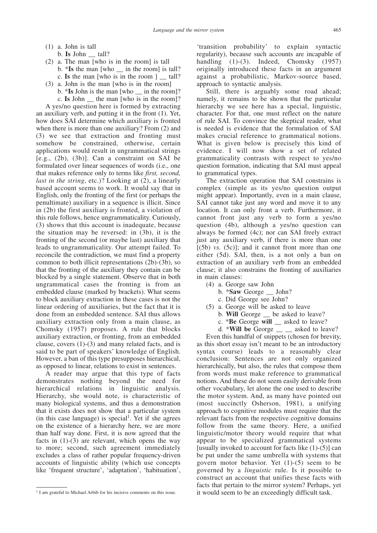- (1) a. John is tall
	- b. **Is** John \_\_ tall?
- (2) a. The man [who is in the room] is tall b. \***Is** the man [who \_\_ in the room] is tall? c. **Is** the man [who is in the room ] \_\_ tall?
- (3) a. John is the man [who is in the room] b. \***Is** John is the man [who \_\_ in the room]? c. **Is** John \_\_ the man [who is in the room]?

A yes/no question here is formed by extracting an auxiliary verb, and putting it in the front (1). Yet, how does SAI determine which auxiliary is fronted when there is more than one auxiliary? From (2) and (3) we see that extraction and fronting must somehow be constrained, otherwise, certain applications would result in ungrammatical strings [e.g., (2b), (3b)]. Can a constraint on SAI be formulated over linear sequences of words (i.e., one that makes reference only to terms like *first, second, last in the string*, etc.)? Looking at (2), a linearly based account seems to work. It would say that in English, only the fronting of the first (or perhaps the penultimate) auxiliary in a sequence is illicit. Since in (2b) the first auxiliary is fronted, a violation of this rule follows, hence ungrammaticality. Curiously, (3) shows that this account is inadequate, because the situation may be reversed: in (3b), it is the fronting of the second (or maybe last) auxiliary that leads to ungrammaticality. Our attempt failed. To reconcile the contradiction, we must find a property common to both illicit representations (2b)-(3b), so that the fronting of the auxiliary they contain can be blocked by a single statement. Observe that in both ungrammatical cases the fronting is from an embedded clause (marked by brackets). What seems to block auxiliary extraction in these cases is not the linear ordering of auxiliaries, but the fact that it is done from an embedded sentence. SAI thus allows auxiliary extraction only from a main clause, as Chomsky (1957) proposes. A rule that blocks auxiliary extraction, or fronting, from an embedded clause, covers (1)-(3) and many related facts, and is said to be part of speakers' knowledge of English. However, a ban of this type presupposes hierarchical, as opposed to linear, relations to exist in sentences.

A reader may argue that this type of facts demonstrates nothing beyond the need for hierarchical relations in linguistic analysis. Hierarchy, she would note, is characteristic of many biological systems, and thus a demonstration that it exists does not show that a particular system (in this case language) is special<sup>1</sup>. Yet if she agrees on the existence of a hierarchy here, we are more than half way done. First, it is now agreed that the facts in  $(1)-(3)$  are relevant, which opens the way to more; second, such agreement immediately excludes a class of rather popular frequency-driven accounts of linguistic ability (which use concepts like 'frequent structure', 'adaptation', 'habituation',

'transition probability' to explain syntactic regularity), because such accounts are incapable of handling (1)-(3). Indeed, Chomsky (1957) originally introduced these facts in an argument against a probabilistic, Markov-source based, approach to syntactic analysis.

Still, there is arguably some road ahead; namely, it remains to be shown that the particular hierarchy we see here has a special, linguistic, character. For that, one must reflect on the nature of rule SAI. To convince the skeptical reader, what is needed is evidence that the formulation of SAI makes crucial reference to grammatical notions. What is given below is precisely this kind of evidence. I will now show a set of related grammaticality contrasts with respect to yes/no question formation, indicating that SAI must appeal to grammatical types.

The extraction operation that SAI constrains is complex (simple as its yes/no question output might appear). Importantly, even in a main clause, SAI cannot take just any word and move it to any location. It can only front a verb. Furthermore, it cannot front just any verb to form a yes/no question (4b), although a yes/no question can always be formed (4c); nor can SAI freely extract just any auxiliary verb, if there is more than one  $[(5b) vs. (5c)]$ ; and it cannot front more than one either (5d). SAI, then, is a not only a ban on extraction of an auxiliary verb from an embedded clause; it also constrains the fronting of auxiliaries in main clauses:

- (4) a. George saw John
	- b. \***Saw** George \_\_ John?
	- c. Did George see John?
- (5) a. George will be asked to leave
	- b. **Will** George be asked to leave?
	- c. \***Be** George **will** \_\_ asked to leave?
	- d. \***Will be** George \_\_ \_\_ asked to leave?

Even this handful of snippets (chosen for brevity, as this short essay isn't meant to be an introductory syntax course) leads to a reasonably clear conclusion: Sentences are not only organized hierarchically, but also, the rules that compose them from words must make reference to grammatical notions. And these do not seem easily derivable from other vocabulary, let alone the one used to describe the motor system. And, as many have pointed out (most succinctly Osherson, 1981), a unifying approach to cognitive modules must require that the relevant facts from the respective cognitive domains follow from the same theory. Here, a unified linguistic/motor theory would require that what appear to be specialized grammatical systems [usually invoked to account for facts like  $(1)-(5)$ ] can be put under the same umbrella with systems that govern motor behavior. Yet (1)-(5) seem to be governed by a *linguistic* rule. Is it possible to construct an account that unifies these facts with facts that pertain to the mirror system? Perhaps, yet <sup>1</sup> I am grateful to Michael Arbib for his incisive comments on this issue. <br> **11 I am grateful to Michael Arbib for his incisive comments on this issue. 11 Would seem to be an exceedingly difficult task.**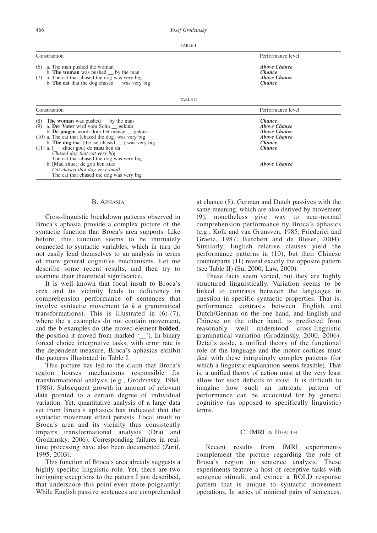| 17DLC 1                                                                                                                                                                                                                                                                                                                                                                                                                                                                                                           |                                                                                                                                             |
|-------------------------------------------------------------------------------------------------------------------------------------------------------------------------------------------------------------------------------------------------------------------------------------------------------------------------------------------------------------------------------------------------------------------------------------------------------------------------------------------------------------------|---------------------------------------------------------------------------------------------------------------------------------------------|
| Construction                                                                                                                                                                                                                                                                                                                                                                                                                                                                                                      | Performance level                                                                                                                           |
| a. The man pushed the woman<br>(6)<br>b. The woman was pushed $\equiv$ by the man<br>a. The cat that chased the dog was very big<br>(7)<br>b. The cat that the dog chased $\_\_\$ was very big                                                                                                                                                                                                                                                                                                                    | <b>Above Chance</b><br><i>Chance</i><br><b>Above Chance</b><br><i>Chance</i>                                                                |
| <b>TABLE II</b>                                                                                                                                                                                                                                                                                                                                                                                                                                                                                                   |                                                                                                                                             |
| Construction                                                                                                                                                                                                                                                                                                                                                                                                                                                                                                      | Performance level                                                                                                                           |
| $(8)$ The woman was pushed $\equiv$ by the man<br>$(9)$ a. Der Vater wird vom Sohn $\_\$ geküßt<br>b. De jongen wordt door het meisje gekust<br>$(10)$ a. The cat that [chased the dog] was very big<br>b. The dog that [the cat chased $\Box$ ] was very big<br>$(11)$ a. [ $\equiv$ zhuei gou] de <b>mau</b> hen da<br>Chased dog that cat very big<br>The cat that chased the dog was very big<br>b. [Mau zhuei] de gou hen xiao<br>Cat chased that dog very small<br>The cat that chased the dog was very big | <i>Chance</i><br><b>Above Chance</b><br><b>Above Chance</b><br><b>Above Chance</b><br><i>Chance</i><br><i>Chance</i><br><b>Above Chance</b> |

#### B. APHASIA

Cross-linguistic breakdown patterns observed in Broca's aphasia provide a complex picture of the syntactic function that Broca's area supports. Like before, this function seems to be intimately connected to syntactic variables, which in turn do not easily lend themselves to an analysis in terms of more general cognitive mechanisms. Let me describe some recent results, and then try to examine their theoretical significance.

It is well known that focal insult to Broca's area and its vicinity leads to deficiency in comprehension performance of sentences that involve syntactic movement (*a k a* grammatical transformations). This is illustrated in (6)-(7), where the a examples do not contain movement, and the b examples do (the moved element **bolded**, the position it moved from marked  $\sum$ ). In binary forced choice interpretive tasks, with error rate is the dependent measure, Broca's aphasics exhibit the patterns illustrated in Table I.

This picture has led to the claim that Broca's region houses mechanisms responsible for transformational analysis (e.g., Grodzinsky, 1984, 1986). Subsequent growth in amount of relevant data pointed to a certain degree of individual variation. Yet, quantitative analysis of a large data set from Broca's aphasics has indicated that the syntactic movement effect persists. Focal insult to Broca's area and its vicinity thus consistently impairs transformational analysis (Drai and Grodzinsky, 2006). Corresponding failures in realtime processing have also been documented (Zurif, 1995, 2003).

This function of Broca's area already suggests a highly specific linguistic role. Yet, there are two intriguing exceptions to the pattern I just described, that underscore this point even more poignantly: While English passive sentences are comprehended

at chance (8), German and Dutch passives with the same meaning, which are also derived by movement (9), nonetheless give way to near-normal comprehension performance by Broca's aphasics (e.g., Kolk and van Grunsven, 1985; Friederici and Graetz, 1987; Burchert and de Bleser, 2004). Similarly, English relative clauses yield the performance patterns in (10), but their Chinese counterparts (11) reveal exactly the opposite pattern (see Table II) (Su, 2000; Law, 2000).

These facts seem varied, but they are highly structured linguistically. Variation seems to be linked to contrasts between the languages in question in specific syntactic properties. That is, performance contrasts between English and Dutch/German on the one hand, and English and Chinese on the other hand, is predicted from reasonably well understood cross-linguistic grammatical variation (Grodzinsky, 2000, 2006). Details aside, a unified theory of the functional role of the language and the motor cortices must deal with these intriguingly complex patterns (for which a linguistic explanation seems feasible). That is, a unified theory of action must at the very least allow for such deficits to exist. It is difficult to imagine how such an intricate pattern of performance can be accounted for by general cognitive (as opposed to specifically linguistic) terms.

## C. fMRI IN HEALTH

Recent results from fMRI experiments complement the picture regarding the role of Broca's region in sentence analysis. These experiments feature a host of receptive tasks with sentence stimuli, and evince a BOLD response pattern that is unique to syntactic movement operations. In series of minimal pairs of sentences,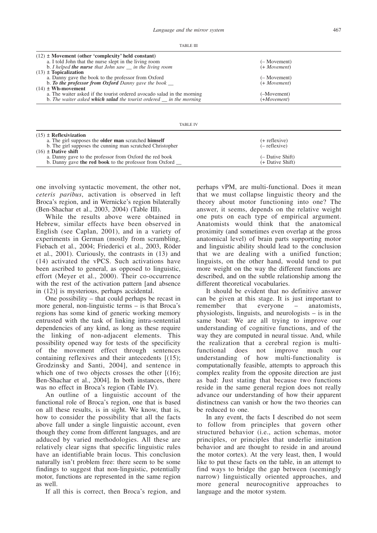| $(12) \pm \text{Movement (other 'complexity' held constant)}$             |               |  |
|---------------------------------------------------------------------------|---------------|--|
| a. I told John that the nurse slept in the living room                    | (– Movement)  |  |
| b. I helped the nurse that John saw $\equiv$ in the living room           | (+ Movement)  |  |
| $(13) \pm$ Topicalization                                                 |               |  |
| a. Danny gave the book to the professor from Oxford                       | (– Movement)  |  |
| b. To the professor from Oxford Danny gave the book $\equiv$              | (+ Movement)  |  |
| $(14) \pm \text{Wh-movement}$                                             |               |  |
| a. The waiter asked if the tourist ordered avocado salad in the morning   | (–Movement)   |  |
| b. The waiter asked <b>which salad</b> the tourist ordered in the morning | (+Movement)   |  |
|                                                                           |               |  |
|                                                                           |               |  |
|                                                                           |               |  |
| <b>TABLE IV</b>                                                           |               |  |
| $(15)$ ± Reflexivization                                                  |               |  |
| a. The girl supposes the <b>older man</b> scratched <b>himself</b>        | (+ reflexive) |  |
|                                                                           |               |  |

TABLE III

| $(15) \pm$ Reflexivization                                         |                  |
|--------------------------------------------------------------------|------------------|
| a. The girl supposes the <b>older man</b> scratched <b>himself</b> | $(+$ reflexive)  |
| b. The girl supposes the cunning man scratched Christopher         | $(-reflexive)$   |
| $(16) \pm$ Dative shift                                            |                  |
| a. Danny gave to the professor from Oxford the red book            | (– Dative Shift) |
| b. Danny gave the red book to the professor from Oxford _          | (+ Dative Shift) |

one involving syntactic movement, the other not, *ceteris paribus*, activation is observed in left Broca's region, and in Wernicke's region bilaterally (Ben-Shachar et al., 2003, 2004) (Table III).

While the results above were obtained in Hebrew, similar effects have been observed in English (see Caplan, 2001), and in a variety of experiments in German (mostly from scrambling, Fiebach et al., 2004; Friederici et al., 2003, Röder et al., 2001). Curiously, the contrasts in (13) and (14) activated the vPCS. Such activations have been ascribed to general, as opposed to linguistic, effort (Meyer et al., 2000). Their co-occurrence with the rest of the activation pattern [and absence in (12)] is mysterious, perhaps accidental.

One possibility – that could perhaps be recast in more general, non-linguistic terms – is that Broca's regions has some kind of generic working memory entrusted with the task of linking intra-sentential dependencies of any kind, as long as these require the linking of non-adjacent elements. This possibility opened way for tests of the specificity of the movement effect through sentences containing reflexives and their antecedents [(15); Grodzinsky and Santi, 2004], and sentence in which one of two objects crosses the other  $[(16);$ Ben-Shachar et al., 2004]. In both instances, there was no effect in Broca's region (Table IV).

An outline of a linguistic account of the functional role of Broca's region, one that is based on all these results, is in sight. We know, that is, how to consider the possibility that all the facts above fall under a single linguistic account, even though they come from different languages, and are adduced by varied methodologies. All these are relatively clear signs that specific linguistic rules have an identifiable brain locus. This conclusion naturally isn't problem free: there seem to be some findings to suggest that non-linguistic, potentially motor, functions are represented in the same region as well.

If all this is correct, then Broca's region, and

perhaps vPM, are multi-functional. Does it mean that we must collapse linguistic theory and the theory about motor functioning into one? The answer, it seems, depends on the relative weight one puts on each type of empirical argument. Anatomists would think that the anatomical proximity (and sometimes even overlap at the gross anatomical level) of brain parts supporting motor and linguistic ability should lead to the conclusion that we are dealing with a unified function; linguists, on the other hand, would tend to put more weight on the way the different functions are described, and on the subtle relationship among the different theoretical vocabularies.

It should be evident that no definitive answer can be given at this stage. It is just important to remember that everyone – anatomists, physiologists, linguists, and neurologists – is in the same boat: We are all trying to improve our understanding of cognitive functions, and of the way they are computed in neural tissue. And, while the realization that a cerebral region is multifunctional does not improve much our understanding of how multi-functionality is computationally feasible, attempts to approach this complex reality from the opposite direction are just as bad: Just stating that because two functions reside in the same general region does not really advance our understanding of how their apparent distinctness can vanish or how the two theories can be reduced to one.

In any event, the facts I described do not seem to follow from principles that govern other structured behavior (i.e., action schemas, motor principles, or principles that underlie imitation behavior and are thought to reside in and around the motor cortex). At the very least, then, I would like to put these facts on the table, in an attempt to find ways to bridge the gap between (seemingly narrow) linguistically oriented approaches, and more general neurocognitive approaches to language and the motor system.